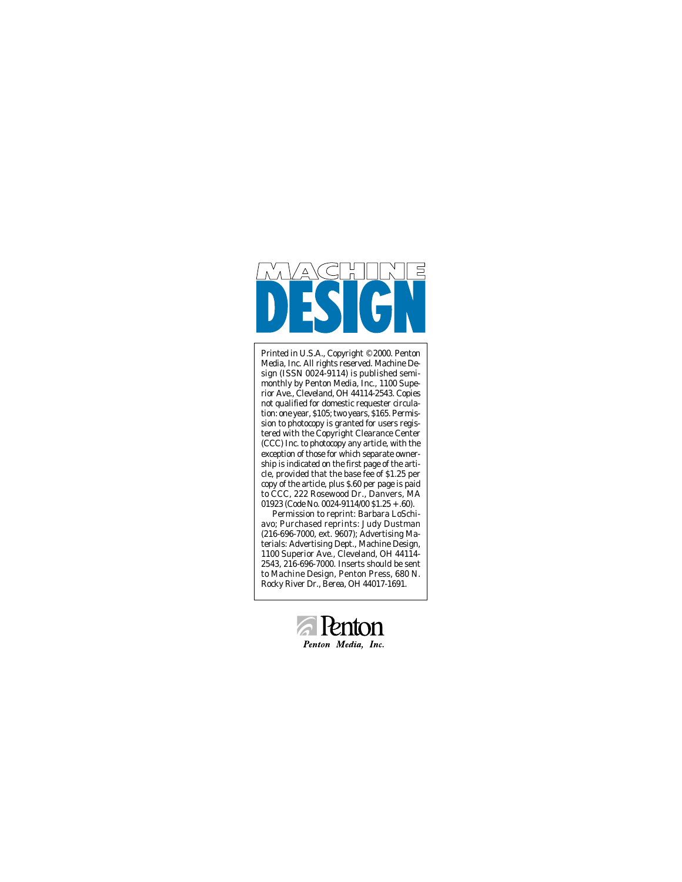

Printed in U.S.A., Copyright © 2000. Penton Media, Inc. All rights reserved. Machine Design (ISSN 0024-9114) is published semimonthly by Penton Media, Inc., 1100 Superior Ave., Cleveland, OH 44114-2543. Copies not qualified for domestic requester circulation: one year, \$105; two years, \$165. Permission to photocopy is granted for users registered with the Copyright Clearance Center (CCC) Inc. to photocopy any article, with the exception of those for which separate ownership is indicated on the first page of the article, provided that the base fee of \$1.25 per copy of the article, plus \$.60 per page is paid to CCC, 222 Rosewood Dr., Danvers, MA 01923 (Code No. 0024-9114/00 \$1.25 + .60).

Permission to reprint: Barbara LoSchiavo; Purchased reprints: Judy Dustman (216-696-7000, ext. 9607); Advertising Materials: Advertising Dept., Machine Design, 1100 Superior Ave., Cleveland, OH 44114- 2543, 216-696-7000. Inserts should be sent to Machine Design, Penton Press, 680 N. Rocky River Dr., Berea, OH 44017-1691.

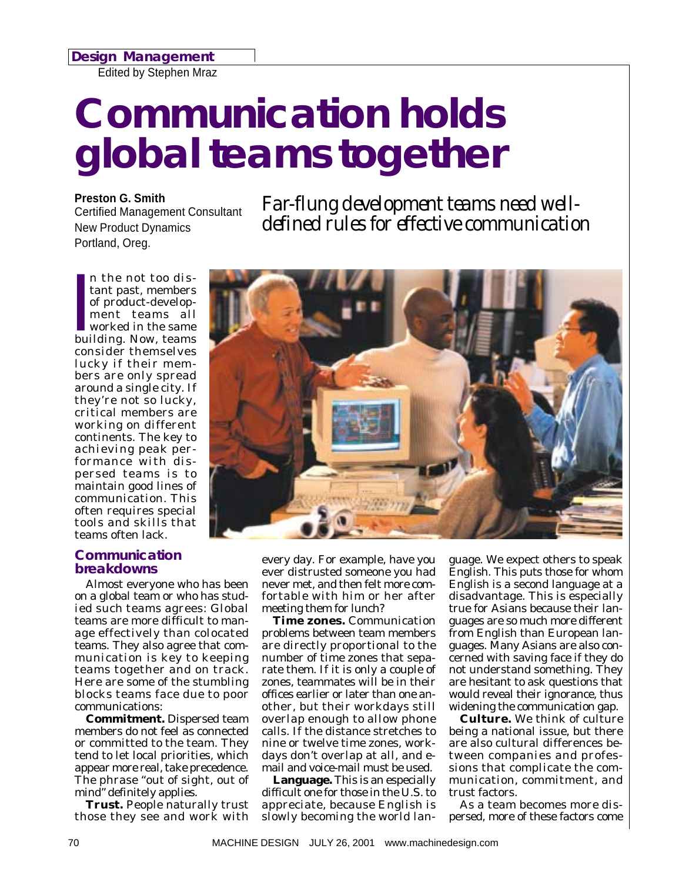*Design Management*

Edited by Stephen Mraz

# *Communication holds global teams together*

**Preston G. Smith** Certified Management Consultant New Product Dynamics Portland, Oreg.

*Far-flung development teams need welldefined rules for effective communication*

n the not too distant past, members<br>of product-develop-<br>ment teams all<br>worked in the same<br>building. Now, teams n the not too distant past, members of product-development teams all worked in the same consider themselves lucky if their members are only spread around a single city. If they're not so lucky, critical members are working on different continents. The key to achieving peak performance with dispersed teams is to maintain good lines of communication. This often requires special tools and skills that teams often lack.

### *Communication breakdowns*

Almost everyone who has been on a global team or who has studied such teams agrees: Global teams are more difficult to manage effectively than colocated teams. They also agree that communication is key to keeping teams together and on track. Here are some of the stumbling blocks teams face due to poor communications:

**Commitment.** Dispersed team members do not feel as connected or committed to the team. They tend to let local priorities, which appear more real, take precedence. The phrase "out of sight, out of mind" definitely applies.

**Trust.** People naturally trust those they see and work with



every day. For example, have you ever distrusted someone you had never met, and then felt more comfortable with him or her after meeting them for lunch?

**Time zones.** Communication problems between team members are directly proportional to the number of time zones that separate them. If it is only a couple of zones, teammates will be in their offices earlier or later than one another, but their workdays still overlap enough to allow phone calls. If the distance stretches to nine or twelve time zones, workdays don't overlap at all, and email and voice-mail must be used.

**Language.** This is an especially difficult one for those in the U.S. to appreciate, because English is slowly becoming the world lan-

guage. We expect others to speak English. This puts those for whom English is a second language at a disadvantage. This is especially true for Asians because their languages are so much more different from English than European languages. Many Asians are also concerned with saving face if they do not understand something. They are hesitant to ask questions that would reveal their ignorance, thus widening the communication gap.

**Culture.** We think of culture being a national issue, but there are also cultural differences between companies and professions that complicate the communication, commitment, and trust factors.

As a team becomes more dispersed, more of these factors come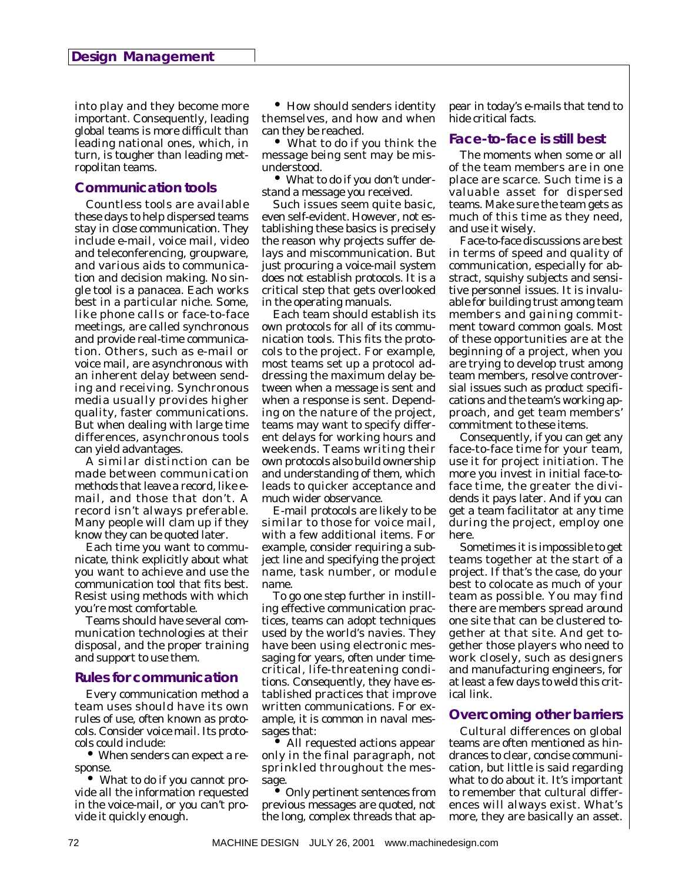into play and they become more important. Consequently, leading global teams is more difficult than leading national ones, which, in turn, is tougher than leading metropolitan teams.

#### *Communication tools*

Countless tools are available these days to help dispersed teams stay in close communication. They include e-mail, voice mail, video and teleconferencing, groupware, and various aids to communication and decision making. No single tool is a panacea. Each works best in a particular niche. Some, like phone calls or face-to-face meetings, are called synchronous and provide real-time communication. Others, such as e-mail or voice mail, are asynchronous with an inherent delay between sending and receiving. Synchronous media usually provides higher quality, faster communications. But when dealing with large time differences, asynchronous tools can yield advantages.

A similar distinction can be made between communication methods that leave a record, like email, and those that don't. A record isn't always preferable. Many people will clam up if they know they can be quoted later.

Each time you want to communicate, think explicitly about what you want to achieve and use the communication tool that fits best. Resist using methods with which you're most comfortable.

Teams should have several communication technologies at their disposal, and the proper training and support to use them.

#### *Rules for communication*

Every communication method a team uses should have its own rules of use, often known as protocols. Consider voice mail. Its protocols could include:

• When senders can expect a response.

• What to do if you cannot provide all the information requested in the voice-mail, or you can't provide it quickly enough.

• How should senders identity themselves, and how and when can they be reached.

• What to do if you think the message being sent may be misunderstood.

• What to do if you don't understand a message you received.

Such issues seem quite basic, even self-evident. However, not establishing these basics is precisely the reason why projects suffer delays and miscommunication. But just procuring a voice-mail system does not establish protocols. It is a critical step that gets overlooked in the operating manuals.

Each team should establish its own protocols for all of its communication tools. This fits the protocols to the project. For example, most teams set up a protocol addressing the maximum delay between when a message is sent and when a response is sent. Depending on the nature of the project, teams may want to specify different delays for working hours and weekends. Teams writing their own protocols also build ownership and understanding of them, which leads to quicker acceptance and much wider observance.

E-mail protocols are likely to be similar to those for voice mail, with a few additional items. For example, consider requiring a subject line and specifying the project name, task number, or module name.

To go one step further in instilling effective communication practices, teams can adopt techniques used by the world's navies. They have been using electronic messaging for years, often under timecritical, life-threatening conditions. Consequently, they have established practices that improve written communications. For example, it is common in naval messages that:

• All requested actions appear only in the final paragraph, not sprinkled throughout the message.

• Only pertinent sentences from previous messages are quoted, not the long, complex threads that appear in today's e-mails that tend to hide critical facts.

## *Face-to-face is still best*

The moments when some or all of the team members are in one place are scarce. Such time is a valuable asset for dispersed teams. Make sure the team gets as much of this time as they need, and use it wisely.

Face-to-face discussions are best in terms of speed and quality of communication, especially for abstract, squishy subjects and sensitive personnel issues. It is invaluable for building trust among team members and gaining commitment toward common goals. Most of these opportunities are at the beginning of a project, when you are trying to develop trust among team members, resolve controversial issues such as product specifications and the team's working approach, and get team members' commitment to these items.

Consequently, if you can get any face-to-face time for your team, use it for project initiation. The more you invest in initial face-toface time, the greater the dividends it pays later. And if you can get a team facilitator at any time during the project, employ one here.

Sometimes it is impossible to get teams together at the start of a project. If that's the case, do your best to colocate as much of your team as possible. You may find there are members spread around one site that can be clustered together at that site. And get together those players who need to work closely, such as designers and manufacturing engineers, for at least a few days to weld this critical link.

# *Overcoming other barriers*

Cultural differences on global teams are often mentioned as hindrances to clear, concise communication, but little is said regarding what to do about it. It's important to remember that cultural differences will always exist. What's more, they are basically an asset.